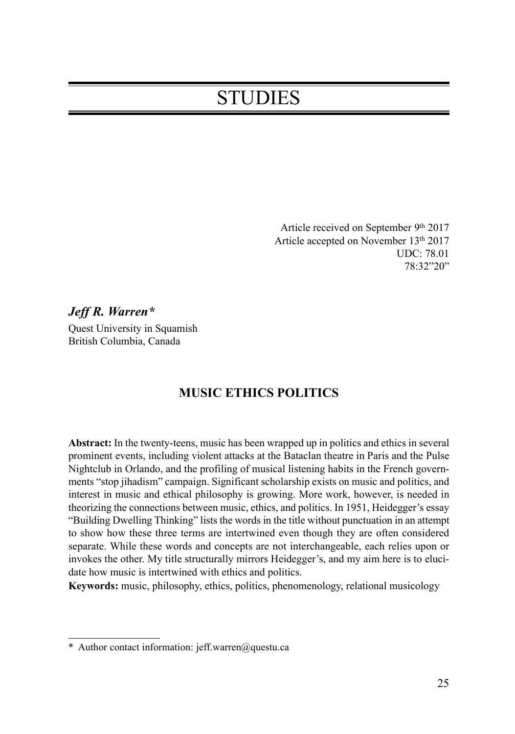# **STUDIES**

Article received on September 9th 2017 Article accepted on November 13<sup>th</sup> 2017 UDC: 78.01 78:32"20"

*Jeff R. Warren\** Quest University in Squamish British Columbia, Canada

# **MUSIC ETHICS POLITICS**

**Abstract:** In the twenty-teens, music has been wrapped up in politics and ethics in several prominent events, including violent attacks at the Bataclan theatre in Paris and the Pulse Nightclub in Orlando, and the profiling of musical listening habits in the French governments "stop jihadism" campaign. Significant scholarship exists on music and politics, and interest in music and ethical philosophy is growing. More work, however, is needed in theorizing the connections between music, ethics, and politics. In 1951, Heidegger's essay "Building Dwelling Thinking" lists the words in the title without punctuation in an attempt to show how these three terms are intertwined even though they are often considered separate. While these words and concepts are not interchangeable, each relies upon or invokes the other. My title structurally mirrors Heidegger's, and my aim here is to elucidate how music is intertwined with ethics and politics.

**Keywords:** music, philosophy, ethics, politics, phenomenology, relational musicology

<sup>\*</sup> Author contact information: jeff.warren@questu.ca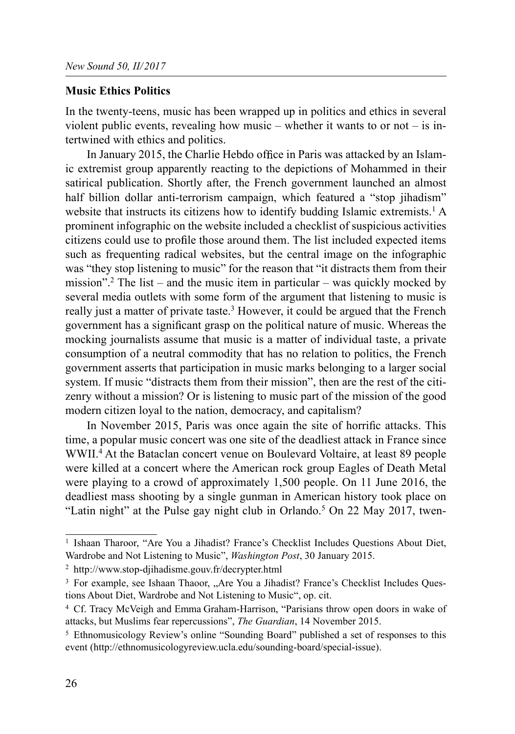## Music Ethics Politics

In the twenty-teens, music has been wrapped up in politics and ethics in several violent public events, revealing how music – whether it wants to or not – is intertwined with ethics and politics.

In January 2015, the Charlie Hebdo office in Paris was attacked by an Islamic extremist group apparently reacting to the depictions of Mohammed in their satirical publication. Shortly after, the French government launched an almost half billion dollar anti-terrorism campaign, which featured a "stop jihadism" website that instructs its citizens how to identify budding Islamic extremists.<sup>1</sup> A prominent infographic on the website included a checklist of suspicious activities citizens could use to profile those around them. The list included expected items such as frequenting radical websites, but the central image on the infographic was "they stop listening to music" for the reason that "it distracts them from their mission".<sup>2</sup> The list – and the music item in particular – was quickly mocked by several media outlets with some form of the argument that listening to music is really just a matter of private taste.<sup>3</sup> However, it could be argued that the French government has a significant grasp on the political nature of music. Whereas the mocking journalists assume that music is a matter of individual taste, a private consumption of a neutral commodity that has no relation to politics, the French government asserts that participation in music marks belonging to a larger social system. If music "distracts them from their mission", then are the rest of the citizenry without a mission? Or is listening to music part of the mission of the good modern citizen loyal to the nation, democracy, and capitalism?

In November 2015, Paris was once again the site of horrific attacks. This time, a popular music concert was one site of the deadliest attack in France since WWII.4 At the Bataclan concert venue on Boulevard Voltaire, at least 89 people were killed at a concert where the American rock group Eagles of Death Metal were playing to a crowd of approximately 1,500 people. On 11 June 2016, the deadliest mass shooting by a single gunman in American history took place on "Latin night" at the Pulse gay night club in Orlando.<sup>5</sup> On 22 May 2017, twen-

<sup>&</sup>lt;sup>1</sup> Ishaan Tharoor, "Are You a Jihadist? France's Checklist Includes Questions About Diet, Wardrobe and Not Listening to Music", Washington Post, 30 January 2015.

<sup>2</sup> http://www.stop-djihadisme.gouv.fr/decrypter.html

<sup>&</sup>lt;sup>3</sup> For example, see Ishaan Thaoor, "Are You a Jihadist? France's Checklist Includes Questions About Diet, Wardrobe and Not Listening to Music", op. cit.

<sup>4</sup> Cf. Tracy McVeigh and Emma Graham-Harrison, "Parisians throw open doors in wake of attacks, but Muslims fear repercussions", The Guardian, 14 November 2015.

<sup>5</sup> Ethnomusicology Review's online "Sounding Board" published a set of responses to this event (http://ethnomusicologyreview.ucla.edu/sounding-board/special-issue).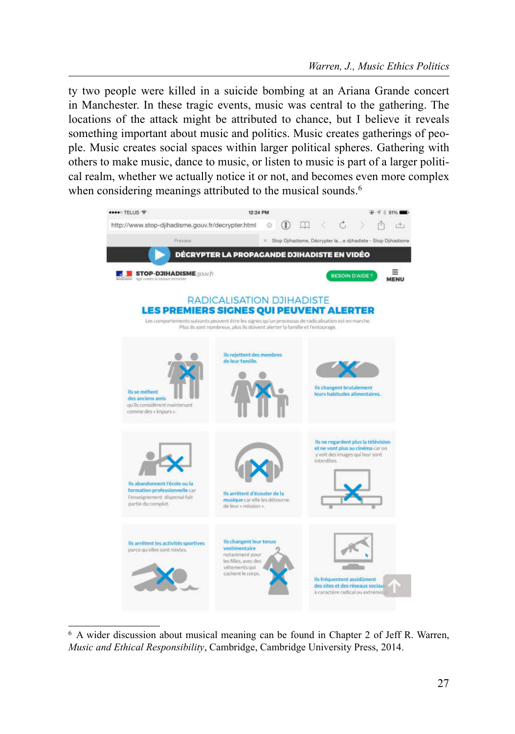ty two people were killed in a suicide bombing at an Ariana Grande concert in Manchester. In these tragic events, music was central to the gathering. The locations of the attack might be attributed to chance, but I believe it reveals something important about music and politics. Music creates gatherings of people. Music creates social spaces within larger political spheres. Gathering with others to make music, dance to music, or listen to music is part of a larger political realm, whether we actually notice it or not, and becomes even more complex when considering meanings attributed to the musical sounds.<sup>6</sup>



<sup>6</sup> A wider discussion about musical meaning can be found in Chapter 2 of Jeff R. Warren, Music and Ethical Responsibility, Cambridge, Cambridge University Press, 2014.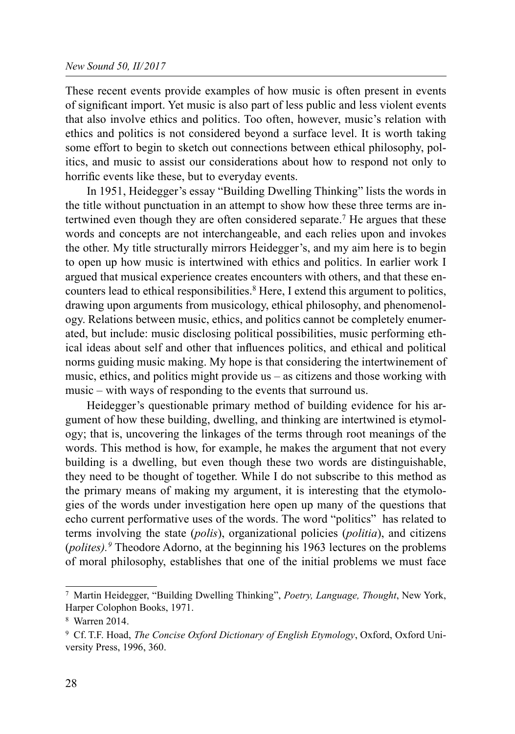These recent events provide examples of how music is often present in events of significant import. Yet music is also part of less public and less violent events that also involve ethics and politics. Too often, however, music's relation with ethics and politics is not considered beyond a surface level. It is worth taking some effort to begin to sketch out connections between ethical philosophy, politics, and music to assist our considerations about how to respond not only to horrific events like these, but to everyday events.

In 1951, Heidegger's essay "Building Dwelling Thinking" lists the words in the title without punctuation in an attempt to show how these three terms are intertwined even though they are often considered separate.7 He argues that these words and concepts are not interchangeable, and each relies upon and invokes the other. My title structurally mirrors Heidegger's, and my aim here is to begin to open up how music is intertwined with ethics and politics. In earlier work I argued that musical experience creates encounters with others, and that these encounters lead to ethical responsibilities.<sup>8</sup> Here, I extend this argument to politics, drawing upon arguments from musicology, ethical philosophy, and phenomenology. Relations between music, ethics, and politics cannot be completely enumerated, but include: music disclosing political possibilities, music performing ethical ideas about self and other that influences politics, and ethical and political norms guiding music making. My hope is that considering the intertwinement of music, ethics, and politics might provide us – as citizens and those working with music – with ways of responding to the events that surround us.

Heidegger's questionable primary method of building evidence for his argument of how these building, dwelling, and thinking are intertwined is etymology; that is, uncovering the linkages of the terms through root meanings of the words. This method is how, for example, he makes the argument that not every building is a dwelling, but even though these two words are distinguishable, they need to be thought of together. While I do not subscribe to this method as the primary means of making my argument, it is interesting that the etymologies of the words under investigation here open up many of the questions that echo current performative uses of the words. The word "politics" has related to terms involving the state (polis), organizational policies (politia), and citizens (*polites*).<sup>9</sup> Theodore Adorno, at the beginning his 1963 lectures on the problems of moral philosophy, establishes that one of the initial problems we must face

<sup>7</sup> Martin Heidegger, "Building Dwelling Thinking", Poetry, Language, Thought, New York, Harper Colophon Books, 1971.

<sup>8</sup> Warren 2014.

<sup>9</sup> Cf. T.F. Hoad, The Concise Oxford Dictionary of English Etymology, Oxford, Oxford University Press, 1996, 360.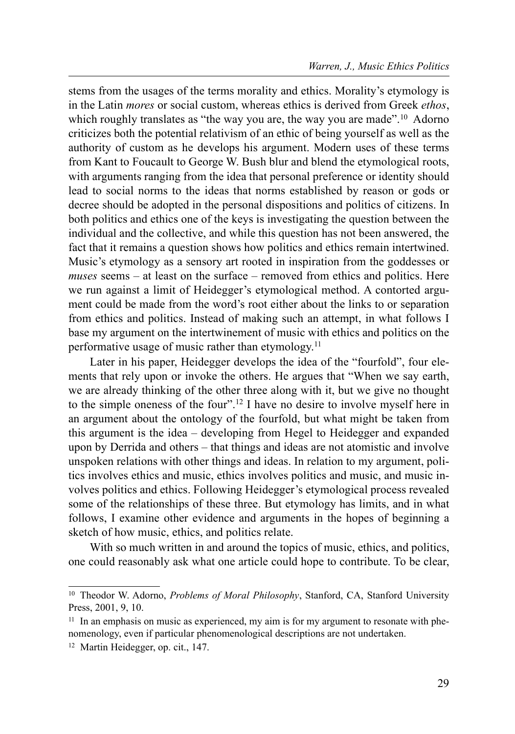stems from the usages of the terms morality and ethics. Morality's etymology is in the Latin mores or social custom, whereas ethics is derived from Greek ethos, which roughly translates as "the way you are, the way you are made".<sup>10</sup> Adorno criticizes both the potential relativism of an ethic of being yourself as well as the authority of custom as he develops his argument. Modern uses of these terms from Kant to Foucault to George W. Bush blur and blend the etymological roots, with arguments ranging from the idea that personal preference or identity should lead to social norms to the ideas that norms established by reason or gods or decree should be adopted in the personal dispositions and politics of citizens. In both politics and ethics one of the keys is investigating the question between the individual and the collective, and while this question has not been answered, the fact that it remains a question shows how politics and ethics remain intertwined. Music's etymology as a sensory art rooted in inspiration from the goddesses or muses seems – at least on the surface – removed from ethics and politics. Here we run against a limit of Heidegger's etymological method. A contorted argument could be made from the word's root either about the links to or separation from ethics and politics. Instead of making such an attempt, in what follows I base my argument on the intertwinement of music with ethics and politics on the performative usage of music rather than etymology.11

Later in his paper, Heidegger develops the idea of the "fourfold", four elements that rely upon or invoke the others. He argues that "When we say earth, we are already thinking of the other three along with it, but we give no thought to the simple oneness of the four".12 I have no desire to involve myself here in an argument about the ontology of the fourfold, but what might be taken from this argument is the idea – developing from Hegel to Heidegger and expanded upon by Derrida and others – that things and ideas are not atomistic and involve unspoken relations with other things and ideas. In relation to my argument, politics involves ethics and music, ethics involves politics and music, and music involves politics and ethics. Following Heidegger's etymological process revealed some of the relationships of these three. But etymology has limits, and in what follows, I examine other evidence and arguments in the hopes of beginning a sketch of how music, ethics, and politics relate.

With so much written in and around the topics of music, ethics, and politics, one could reasonably ask what one article could hope to contribute. To be clear,

<sup>&</sup>lt;sup>10</sup> Theodor W. Adorno, *Problems of Moral Philosophy*, Stanford, CA, Stanford University Press, 2001, 9, 10.

 $11$  In an emphasis on music as experienced, my aim is for my argument to resonate with phenomenology, even if particular phenomenological descriptions are not undertaken.

<sup>12</sup> Martin Heidegger, op. cit., 147.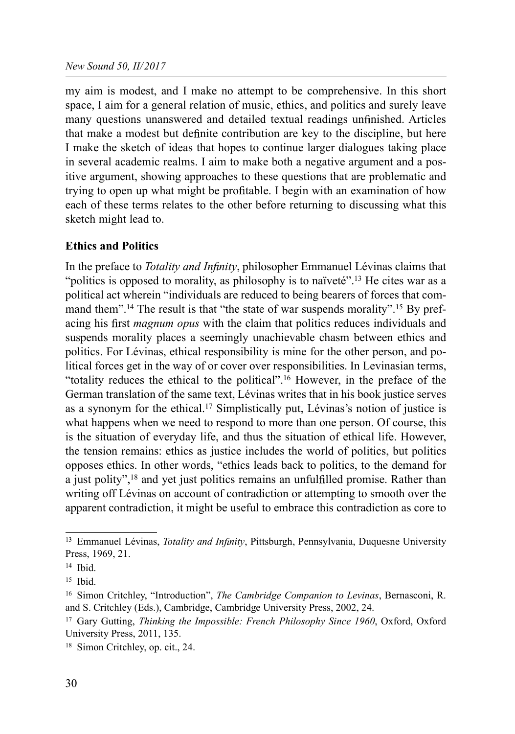my aim is modest, and I make no attempt to be comprehensive. In this short space, I aim for a general relation of music, ethics, and politics and surely leave many questions unanswered and detailed textual readings unfinished. Articles that make a modest but definite contribution are key to the discipline, but here I make the sketch of ideas that hopes to continue larger dialogues taking place in several academic realms. I aim to make both a negative argument and a positive argument, showing approaches to these questions that are problematic and trying to open up what might be profitable. I begin with an examination of how each of these terms relates to the other before returning to discussing what this sketch might lead to.

# Ethics and Politics

In the preface to *Totality and Infinity*, philosopher Emmanuel Lévinas claims that "politics is opposed to morality, as philosophy is to naïveté".<sup>13</sup> He cites war as a political act wherein "individuals are reduced to being bearers of forces that command them".<sup>14</sup> The result is that "the state of war suspends morality".<sup>15</sup> By prefacing his first *magnum opus* with the claim that politics reduces individuals and suspends morality places a seemingly unachievable chasm between ethics and politics. For Lévinas, ethical responsibility is mine for the other person, and political forces get in the way of or cover over responsibilities. In Levinasian terms, "totality reduces the ethical to the political".16 However, in the preface of the German translation of the same text, Lévinas writes that in his book justice serves as a synonym for the ethical.17 Simplistically put, Lévinas's notion of justice is what happens when we need to respond to more than one person. Of course, this is the situation of everyday life, and thus the situation of ethical life. However, the tension remains: ethics as justice includes the world of politics, but politics opposes ethics. In other words, "ethics leads back to politics, to the demand for a just polity",<sup>18</sup> and yet just politics remains an unfulfilled promise. Rather than writing off Lévinas on account of contradiction or attempting to smooth over the apparent contradiction, it might be useful to embrace this contradiction as core to

<sup>&</sup>lt;sup>13</sup> Emmanuel Lévinas, *Totality and Infinity*, Pittsburgh, Pennsylvania, Duquesne University Press, 1969, 21.

<sup>14</sup> Ibid.

<sup>15</sup> Ibid.

<sup>&</sup>lt;sup>16</sup> Simon Critchley, "Introduction", *The Cambridge Companion to Levinas*, Bernasconi, R. and S. Critchley (Eds.), Cambridge, Cambridge University Press, 2002, 24.

<sup>&</sup>lt;sup>17</sup> Gary Gutting, *Thinking the Impossible: French Philosophy Since 1960*, Oxford, Oxford University Press, 2011, 135.

<sup>18</sup> Simon Critchley, op. cit., 24.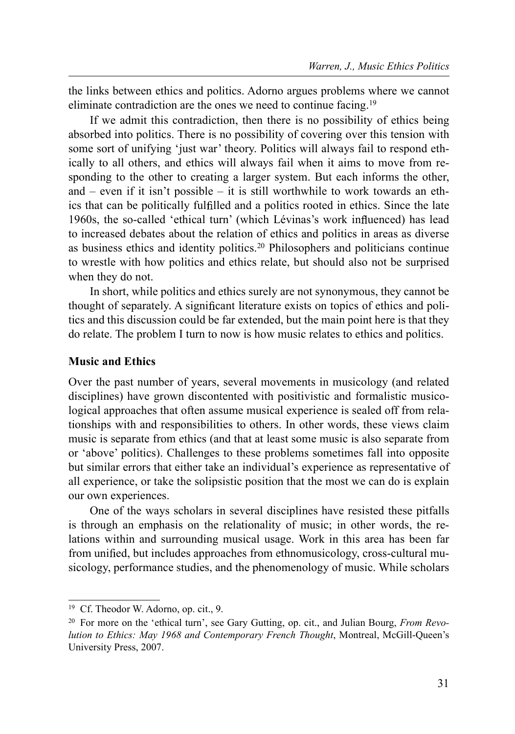the links between ethics and politics. Adorno argues problems where we cannot eliminate contradiction are the ones we need to continue facing.19

If we admit this contradiction, then there is no possibility of ethics being absorbed into politics. There is no possibility of covering over this tension with some sort of unifying 'just war' theory. Politics will always fail to respond ethically to all others, and ethics will always fail when it aims to move from responding to the other to creating a larger system. But each informs the other, and – even if it isn't possible – it is still worthwhile to work towards an ethics that can be politically fulfilled and a politics rooted in ethics. Since the late 1960s, the so-called 'ethical turn' (which Lévinas's work influenced) has lead to increased debates about the relation of ethics and politics in areas as diverse as business ethics and identity politics.<sup>20</sup> Philosophers and politicians continue to wrestle with how politics and ethics relate, but should also not be surprised when they do not.

In short, while politics and ethics surely are not synonymous, they cannot be thought of separately. A significant literature exists on topics of ethics and politics and this discussion could be far extended, but the main point here is that they do relate. The problem I turn to now is how music relates to ethics and politics.

## **Music and Ethics**

Over the past number of years, several movements in musicology (and related disciplines) have grown discontented with positivistic and formalistic musicological approaches that often assume musical experience is sealed off from relationships with and responsibilities to others. In other words, these views claim music is separate from ethics (and that at least some music is also separate from or 'above' politics). Challenges to these problems sometimes fall into opposite but similar errors that either take an individual's experience as representative of all experience, or take the solipsistic position that the most we can do is explain our own experiences.

One of the ways scholars in several disciplines have resisted these pitfalls is through an emphasis on the relationality of music; in other words, the relations within and surrounding musical usage. Work in this area has been far from unified, but includes approaches from ethnomusicology, cross-cultural musicology, performance studies, and the phenomenology of music. While scholars

<sup>19</sup> Cf. Theodor W. Adorno, op. cit., 9.

<sup>&</sup>lt;sup>20</sup> For more on the 'ethical turn', see Gary Gutting, op. cit., and Julian Bourg, *From Revo*lution to Ethics: May 1968 and Contemporary French Thought, Montreal, McGill-Queen's University Press, 2007.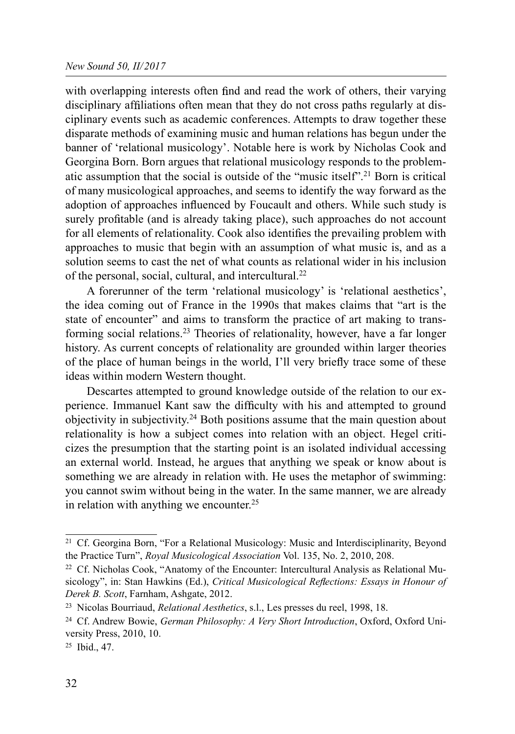### New Sound 50, II/2017

with overlapping interests often find and read the work of others, their varying disciplinary affiliations often mean that they do not cross paths regularly at disciplinary events such as academic conferences. Attempts to draw together these disparate methods of examining music and human relations has begun under the banner of 'relational musicology'. Notable here is work by Nicholas Cook and Georgina Born. Born argues that relational musicology responds to the problematic assumption that the social is outside of the "music itself".21 Born is critical of many musicological approaches, and seems to identify the way forward as the adoption of approaches influenced by Foucault and others. While such study is surely profitable (and is already taking place), such approaches do not account for all elements of relationality. Cook also identifies the prevailing problem with approaches to music that begin with an assumption of what music is, and as a solution seems to cast the net of what counts as relational wider in his inclusion of the personal, social, cultural, and intercultural.22

A forerunner of the term 'relational musicology' is 'relational aesthetics', the idea coming out of France in the 1990s that makes claims that "art is the state of encounter" and aims to transform the practice of art making to transforming social relations.23 Theories of relationality, however, have a far longer history. As current concepts of relationality are grounded within larger theories of the place of human beings in the world, I'll very briefly trace some of these ideas within modern Western thought.

Descartes attempted to ground knowledge outside of the relation to our experience. Immanuel Kant saw the difficulty with his and attempted to ground objectivity in subjectivity.24 Both positions assume that the main question about relationality is how a subject comes into relation with an object. Hegel criticizes the presumption that the starting point is an isolated individual accessing an external world. Instead, he argues that anything we speak or know about is something we are already in relation with. He uses the metaphor of swimming: you cannot swim without being in the water. In the same manner, we are already in relation with anything we encounter.<sup>25</sup>

<sup>21</sup> Cf. Georgina Born, "For a Relational Musicology: Music and Interdisciplinarity, Beyond the Practice Turn", Royal Musicological Association Vol. 135, No. 2, 2010, 208.

<sup>22</sup> Cf. Nicholas Cook, "Anatomy of the Encounter: Intercultural Analysis as Relational Musicology", in: Stan Hawkins (Ed.), Critical Musicological Reflections: Essays in Honour of Derek B. Scott, Farnham, Ashgate, 2012.

<sup>23</sup> Nicolas Bourriaud, Relational Aesthetics, s.l., Les presses du reel, 1998, 18.

<sup>&</sup>lt;sup>24</sup> Cf. Andrew Bowie, German Philosophy: A Very Short Introduction, Oxford, Oxford University Press, 2010, 10.

<sup>25</sup> Ibid., 47.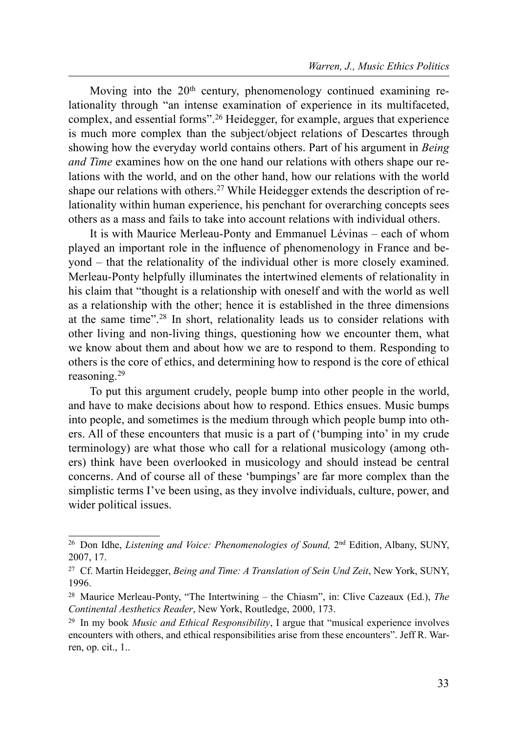Moving into the  $20<sup>th</sup>$  century, phenomenology continued examining relationality through "an intense examination of experience in its multifaceted, complex, and essential forms".26 Heidegger, for example, argues that experience is much more complex than the subject/object relations of Descartes through showing how the everyday world contains others. Part of his argument in *Being* and Time examines how on the one hand our relations with others shape our relations with the world, and on the other hand, how our relations with the world shape our relations with others.<sup>27</sup> While Heidegger extends the description of relationality within human experience, his penchant for overarching concepts sees others as a mass and fails to take into account relations with individual others.

It is with Maurice Merleau-Ponty and Emmanuel Lévinas – each of whom played an important role in the influence of phenomenology in France and beyond – that the relationality of the individual other is more closely examined. Merleau-Ponty helpfully illuminates the intertwined elements of relationality in his claim that "thought is a relationship with oneself and with the world as well as a relationship with the other; hence it is established in the three dimensions at the same time".28 In short, relationality leads us to consider relations with other living and non-living things, questioning how we encounter them, what we know about them and about how we are to respond to them. Responding to others is the core of ethics, and determining how to respond is the core of ethical reasoning.29

To put this argument crudely, people bump into other people in the world, and have to make decisions about how to respond. Ethics ensues. Music bumps into people, and sometimes is the medium through which people bump into others. All of these encounters that music is a part of ('bumping into' in my crude terminology) are what those who call for a relational musicology (among others) think have been overlooked in musicology and should instead be central concerns. And of course all of these 'bumpings' are far more complex than the simplistic terms I've been using, as they involve individuals, culture, power, and wider political issues.

<sup>&</sup>lt;sup>26</sup> Don Idhe, *Listening and Voice: Phenomenologies of Sound*,  $2<sup>nd</sup>$  Edition, Albany, SUNY, 2007, 17.

<sup>&</sup>lt;sup>27</sup> Cf. Martin Heidegger, *Being and Time: A Translation of Sein Und Zeit*, New York, SUNY, 1996.

<sup>&</sup>lt;sup>28</sup> Maurice Merleau-Ponty, "The Intertwining – the Chiasm", in: Clive Cazeaux (Ed.), The Continental Aesthetics Reader, New York, Routledge, 2000, 173.

 $29$  In my book *Music and Ethical Responsibility*, I argue that "musical experience involves encounters with others, and ethical responsibilities arise from these encounters". Jeff R. Warren, op. cit., 1..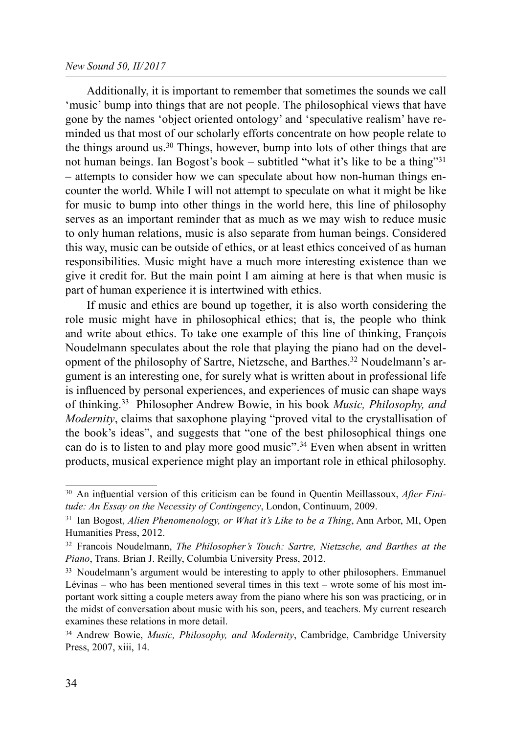Additionally, it is important to remember that sometimes the sounds we call 'music' bump into things that are not people. The philosophical views that have gone by the names 'object oriented ontology' and 'speculative realism' have reminded us that most of our scholarly efforts concentrate on how people relate to the things around us.30 Things, however, bump into lots of other things that are not human beings. Ian Bogost's book – subtitled "what it's like to be a thing"31 – attempts to consider how we can speculate about how non-human things encounter the world. While I will not attempt to speculate on what it might be like for music to bump into other things in the world here, this line of philosophy serves as an important reminder that as much as we may wish to reduce music to only human relations, music is also separate from human beings. Considered this way, music can be outside of ethics, or at least ethics conceived of as human responsibilities. Music might have a much more interesting existence than we give it credit for. But the main point I am aiming at here is that when music is part of human experience it is intertwined with ethics.

If music and ethics are bound up together, it is also worth considering the role music might have in philosophical ethics; that is, the people who think and write about ethics. To take one example of this line of thinking, François Noudelmann speculates about the role that playing the piano had on the development of the philosophy of Sartre, Nietzsche, and Barthes.<sup>32</sup> Noudelmann's argument is an interesting one, for surely what is written about in professional life is influenced by personal experiences, and experiences of music can shape ways of thinking.33 Philosopher Andrew Bowie, in his book Music, Philosophy, and Modernity, claims that saxophone playing "proved vital to the crystallisation of the book's ideas", and suggests that "one of the best philosophical things one can do is to listen to and play more good music".<sup>34</sup> Even when absent in written products, musical experience might play an important role in ethical philosophy.

 $30$  An influential version of this criticism can be found in Quentin Meillassoux, *After Fini*tude: An Essay on the Necessity of Contingency, London, Continuum, 2009.

 $31$  Ian Bogost, Alien Phenomenology, or What it's Like to be a Thing, Ann Arbor, MI, Open Humanities Press, 2012.

<sup>&</sup>lt;sup>32</sup> Francois Noudelmann, The Philosopher's Touch: Sartre, Nietzsche, and Barthes at the Piano, Trans. Brian J. Reilly, Columbia University Press, 2012.

<sup>&</sup>lt;sup>33</sup> Noudelmann's argument would be interesting to apply to other philosophers. Emmanuel Lévinas – who has been mentioned several times in this text – wrote some of his most important work sitting a couple meters away from the piano where his son was practicing, or in the midst of conversation about music with his son, peers, and teachers. My current research examines these relations in more detail.

<sup>&</sup>lt;sup>34</sup> Andrew Bowie, *Music, Philosophy, and Modernity*, Cambridge, Cambridge University Press, 2007, xiii, 14.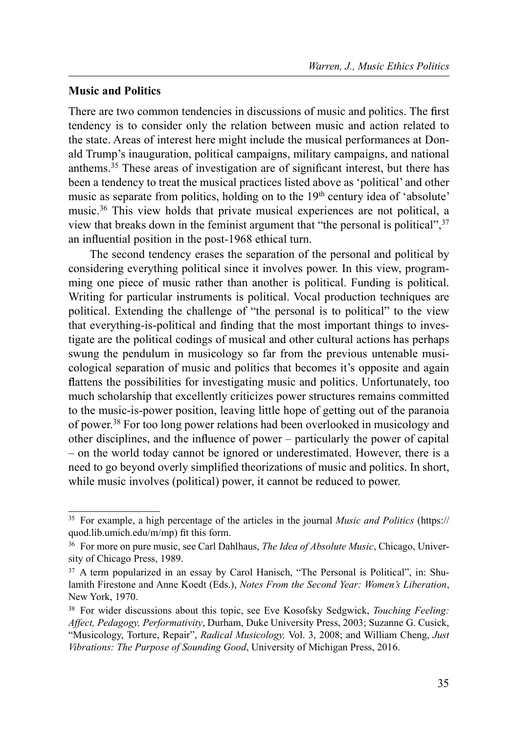## Music and Politics

There are two common tendencies in discussions of music and politics. The first tendency is to consider only the relation between music and action related to the state. Areas of interest here might include the musical performances at Donald Trump's inauguration, political campaigns, military campaigns, and national anthems.<sup>35</sup> These areas of investigation are of significant interest, but there has been a tendency to treat the musical practices listed above as 'political' and other music as separate from politics, holding on to the 19<sup>th</sup> century idea of 'absolute' music.36 This view holds that private musical experiences are not political, a view that breaks down in the feminist argument that "the personal is political",37 an influential position in the post-1968 ethical turn.

The second tendency erases the separation of the personal and political by considering everything political since it involves power. In this view, programming one piece of music rather than another is political. Funding is political. Writing for particular instruments is political. Vocal production techniques are political. Extending the challenge of "the personal is to political" to the view that everything-is-political and finding that the most important things to investigate are the political codings of musical and other cultural actions has perhaps swung the pendulum in musicology so far from the previous untenable musicological separation of music and politics that becomes it's opposite and again flattens the possibilities for investigating music and politics. Unfortunately, too much scholarship that excellently criticizes power structures remains committed to the music-is-power position, leaving little hope of getting out of the paranoia of power.38 For too long power relations had been overlooked in musicology and other disciplines, and the influence of power  $-$  particularly the power of capital – on the world today cannot be ignored or underestimated. However, there is a need to go beyond overly simplified theorizations of music and politics. In short, while music involves (political) power, it cannot be reduced to power.

<sup>&</sup>lt;sup>35</sup> For example, a high percentage of the articles in the journal *Music and Politics* (https:// quod.lib.umich.edu/m/mp) fit this form.

<sup>&</sup>lt;sup>36</sup> For more on pure music, see Carl Dahlhaus, *The Idea of Absolute Music*, Chicago, University of Chicago Press, 1989.

<sup>37</sup> A term popularized in an essay by Carol Hanisch, "The Personal is Political", in: Shulamith Firestone and Anne Koedt (Eds.), Notes From the Second Year: Women's Liberation, New York, 1970.

<sup>&</sup>lt;sup>38</sup> For wider discussions about this topic, see Eve Kosofsky Sedgwick, *Touching Feeling*: Affect, Pedagogy, Performativity, Durham, Duke University Press, 2003; Suzanne G. Cusick, "Musicology, Torture, Repair", Radical Musicology, Vol. 3, 2008; and William Cheng, Just Vibrations: The Purpose of Sounding Good, University of Michigan Press, 2016.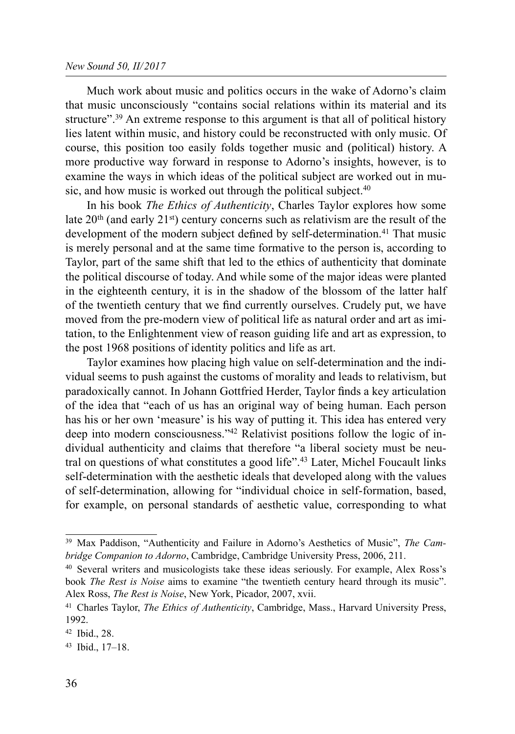#### New Sound 50, II/2017

Much work about music and politics occurs in the wake of Adorno's claim that music unconsciously "contains social relations within its material and its structure".39 An extreme response to this argument is that all of political history lies latent within music, and history could be reconstructed with only music. Of course, this position too easily folds together music and (political) history. A more productive way forward in response to Adorno's insights, however, is to examine the ways in which ideas of the political subject are worked out in music, and how music is worked out through the political subject.<sup>40</sup>

In his book The Ethics of Authenticity, Charles Taylor explores how some late  $20<sup>th</sup>$  (and early  $21<sup>st</sup>$ ) century concerns such as relativism are the result of the development of the modern subject defined by self-determination.<sup>41</sup> That music is merely personal and at the same time formative to the person is, according to Taylor, part of the same shift that led to the ethics of authenticity that dominate the political discourse of today. And while some of the major ideas were planted in the eighteenth century, it is in the shadow of the blossom of the latter half of the twentieth century that we find currently ourselves. Crudely put, we have moved from the pre-modern view of political life as natural order and art as imitation, to the Enlightenment view of reason guiding life and art as expression, to the post 1968 positions of identity politics and life as art.

Taylor examines how placing high value on self-determination and the individual seems to push against the customs of morality and leads to relativism, but paradoxically cannot. In Johann Gottfried Herder, Taylor finds a key articulation of the idea that "each of us has an original way of being human. Each person has his or her own 'measure' is his way of putting it. This idea has entered very deep into modern consciousness."42 Relativist positions follow the logic of individual authenticity and claims that therefore "a liberal society must be neutral on questions of what constitutes a good life".43 Later, Michel Foucault links self-determination with the aesthetic ideals that developed along with the values of self-determination, allowing for "individual choice in self-formation, based, for example, on personal standards of aesthetic value, corresponding to what

<sup>&</sup>lt;sup>39</sup> Max Paddison, "Authenticity and Failure in Adorno's Aesthetics of Music", The Cambridge Companion to Adorno, Cambridge, Cambridge University Press, 2006, 211.

<sup>40</sup> Several writers and musicologists take these ideas seriously. For example, Alex Ross's book The Rest is Noise aims to examine "the twentieth century heard through its music". Alex Ross, The Rest is Noise, New York, Picador, 2007, xvii.

<sup>&</sup>lt;sup>41</sup> Charles Taylor, *The Ethics of Authenticity*, Cambridge, Mass., Harvard University Press, 1992.

<sup>42</sup> Ibid., 28.

<sup>43</sup> Ibid., 17–18.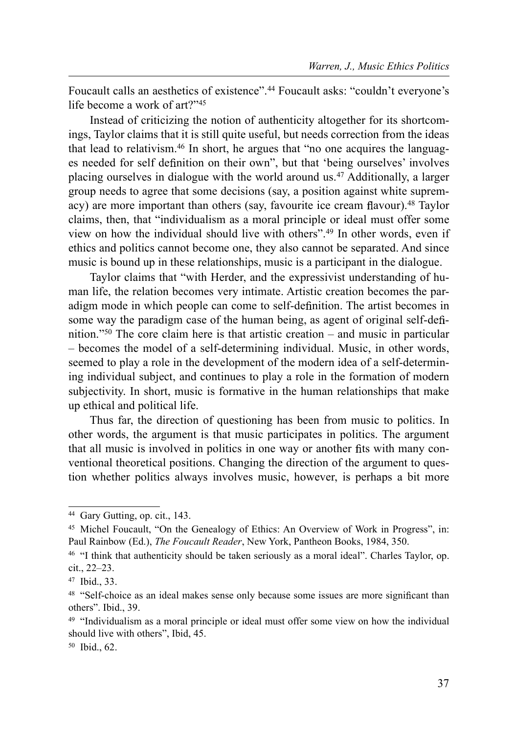Foucault calls an aesthetics of existence".44 Foucault asks: "couldn't everyone's life become a work of art?"45

Instead of criticizing the notion of authenticity altogether for its shortcomings, Taylor claims that it is still quite useful, but needs correction from the ideas that lead to relativism.46 In short, he argues that "no one acquires the languages needed for self definition on their own", but that 'being ourselves' involves placing ourselves in dialogue with the world around us.<sup>47</sup> Additionally, a larger group needs to agree that some decisions (say, a position against white supremacy) are more important than others (say, favourite ice cream flavour).<sup>48</sup> Taylor claims, then, that "individualism as a moral principle or ideal must offer some view on how the individual should live with others".49 In other words, even if ethics and politics cannot become one, they also cannot be separated. And since music is bound up in these relationships, music is a participant in the dialogue.

Taylor claims that "with Herder, and the expressivist understanding of human life, the relation becomes very intimate. Artistic creation becomes the paradigm mode in which people can come to self-definition. The artist becomes in some way the paradigm case of the human being, as agent of original self-definition."50 The core claim here is that artistic creation – and music in particular – becomes the model of a self-determining individual. Music, in other words, seemed to play a role in the development of the modern idea of a self-determining individual subject, and continues to play a role in the formation of modern subjectivity. In short, music is formative in the human relationships that make up ethical and political life.

Thus far, the direction of questioning has been from music to politics. In other words, the argument is that music participates in politics. The argument that all music is involved in politics in one way or another fits with many conventional theoretical positions. Changing the direction of the argument to question whether politics always involves music, however, is perhaps a bit more

<sup>44</sup> Gary Gutting, op. cit., 143.

<sup>45</sup> Michel Foucault, "On the Genealogy of Ethics: An Overview of Work in Progress", in: Paul Rainbow (Ed.), The Foucault Reader, New York, Pantheon Books, 1984, 350.

<sup>&</sup>lt;sup>46</sup> "I think that authenticity should be taken seriously as a moral ideal". Charles Taylor, op. cit., 22–23.

<sup>47</sup> Ibid., 33.

<sup>&</sup>lt;sup>48</sup> "Self-choice as an ideal makes sense only because some issues are more significant than others". Ibid., 39.

<sup>49 &</sup>quot;Individualism as a moral principle or ideal must offer some view on how the individual should live with others", Ibid, 45.

<sup>50</sup> Ibid., 62.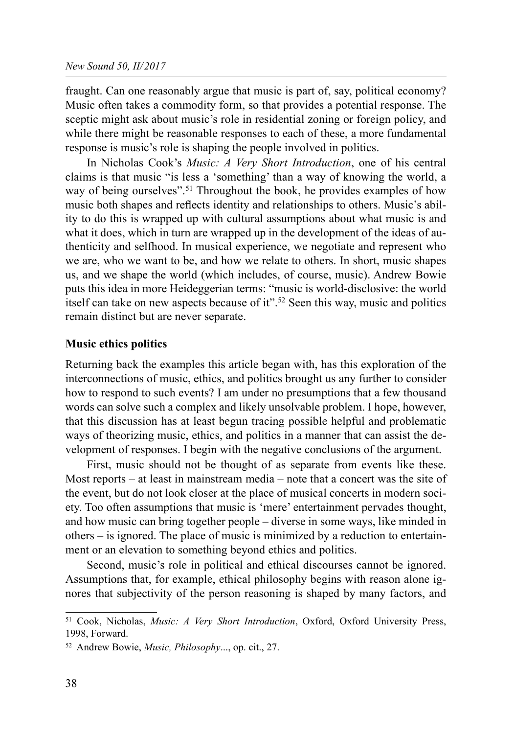fraught. Can one reasonably argue that music is part of, say, political economy? Music often takes a commodity form, so that provides a potential response. The sceptic might ask about music's role in residential zoning or foreign policy, and while there might be reasonable responses to each of these, a more fundamental response is music's role is shaping the people involved in politics.

In Nicholas Cook's Music: A Very Short Introduction, one of his central claims is that music "is less a 'something' than a way of knowing the world, a way of being ourselves".<sup>51</sup> Throughout the book, he provides examples of how music both shapes and reflects identity and relationships to others. Music's ability to do this is wrapped up with cultural assumptions about what music is and what it does, which in turn are wrapped up in the development of the ideas of authenticity and selfhood. In musical experience, we negotiate and represent who we are, who we want to be, and how we relate to others. In short, music shapes us, and we shape the world (which includes, of course, music). Andrew Bowie puts this idea in more Heideggerian terms: "music is world-disclosive: the world itself can take on new aspects because of it".52 Seen this way, music and politics remain distinct but are never separate.

# Music ethics politics

Returning back the examples this article began with, has this exploration of the interconnections of music, ethics, and politics brought us any further to consider how to respond to such events? I am under no presumptions that a few thousand words can solve such a complex and likely unsolvable problem. I hope, however, that this discussion has at least begun tracing possible helpful and problematic ways of theorizing music, ethics, and politics in a manner that can assist the development of responses. I begin with the negative conclusions of the argument.

First, music should not be thought of as separate from events like these. Most reports – at least in mainstream media – note that a concert was the site of the event, but do not look closer at the place of musical concerts in modern society. Too often assumptions that music is 'mere' entertainment pervades thought, and how music can bring together people – diverse in some ways, like minded in others – is ignored. The place of music is minimized by a reduction to entertainment or an elevation to something beyond ethics and politics.

Second, music's role in political and ethical discourses cannot be ignored. Assumptions that, for example, ethical philosophy begins with reason alone ignores that subjectivity of the person reasoning is shaped by many factors, and

<sup>51</sup> Cook, Nicholas, Music: A Very Short Introduction, Oxford, Oxford University Press, 1998, Forward.

<sup>52</sup> Andrew Bowie, Music, Philosophy..., op. cit., 27.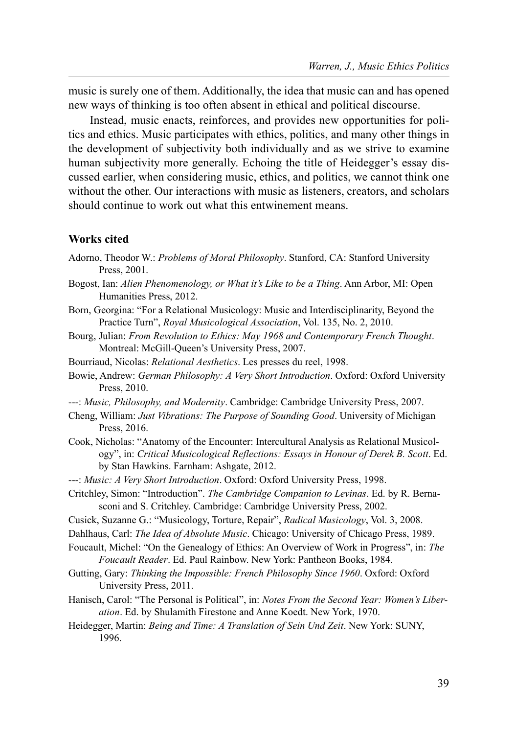music is surely one of them. Additionally, the idea that music can and has opened new ways of thinking is too often absent in ethical and political discourse.

Instead, music enacts, reinforces, and provides new opportunities for politics and ethics. Music participates with ethics, politics, and many other things in the development of subjectivity both individually and as we strive to examine human subjectivity more generally. Echoing the title of Heidegger's essay discussed earlier, when considering music, ethics, and politics, we cannot think one without the other. Our interactions with music as listeners, creators, and scholars should continue to work out what this entwinement means.

#### Works cited

- Adorno, Theodor W.: Problems of Moral Philosophy. Stanford, CA: Stanford University Press, 2001.
- Bogost, Ian: Alien Phenomenology, or What it's Like to be a Thing. Ann Arbor, MI: Open Humanities Press, 2012.
- Born, Georgina: "For a Relational Musicology: Music and Interdisciplinarity, Beyond the Practice Turn", Royal Musicological Association, Vol. 135, No. 2, 2010.
- Bourg, Julian: From Revolution to Ethics: May 1968 and Contemporary French Thought. Montreal: McGill-Queen's University Press, 2007.
- Bourriaud, Nicolas: Relational Aesthetics. Les presses du reel, 1998.
- Bowie, Andrew: German Philosophy: A Very Short Introduction. Oxford: Oxford University Press, 2010.
- ---: Music, Philosophy, and Modernity. Cambridge: Cambridge University Press, 2007.
- Cheng, William: Just Vibrations: The Purpose of Sounding Good. University of Michigan Press, 2016.
- Cook, Nicholas: "Anatomy of the Encounter: Intercultural Analysis as Relational Musicology", in: Critical Musicological Reflections: Essays in Honour of Derek B. Scott. Ed. by Stan Hawkins. Farnham: Ashgate, 2012.
- ---: Music: A Very Short Introduction. Oxford: Oxford University Press, 1998.
- Critchley, Simon: "Introduction". The Cambridge Companion to Levinas. Ed. by R. Bernasconi and S. Critchley. Cambridge: Cambridge University Press, 2002.
- Cusick, Suzanne G.: "Musicology, Torture, Repair", Radical Musicology, Vol. 3, 2008.
- Dahlhaus, Carl: The Idea of Absolute Music. Chicago: University of Chicago Press, 1989.
- Foucault, Michel: "On the Genealogy of Ethics: An Overview of Work in Progress", in: The Foucault Reader. Ed. Paul Rainbow. New York: Pantheon Books, 1984.
- Gutting, Gary: Thinking the Impossible: French Philosophy Since 1960. Oxford: Oxford University Press, 2011.
- Hanisch, Carol: "The Personal is Political", in: Notes From the Second Year: Women's Liberation. Ed. by Shulamith Firestone and Anne Koedt. New York, 1970.
- Heidegger, Martin: Being and Time: A Translation of Sein Und Zeit. New York: SUNY, 1996.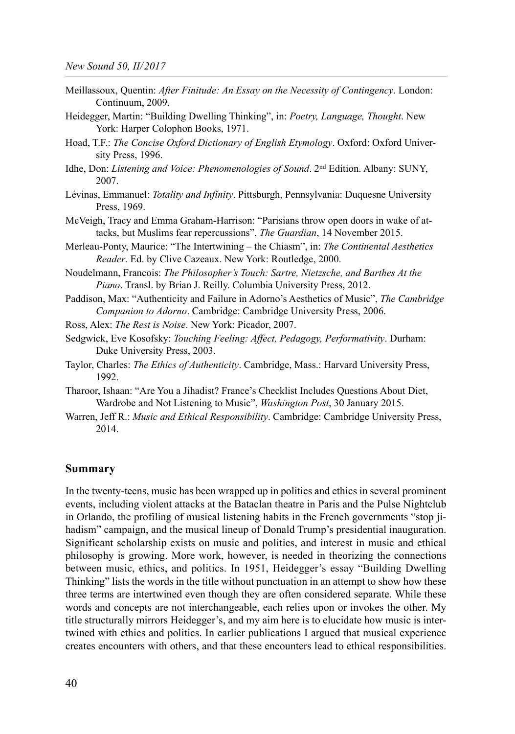- Meillassoux, Quentin: After Finitude: An Essay on the Necessity of Contingency. London: Continuum, 2009.
- Heidegger, Martin: "Building Dwelling Thinking", in: Poetry, Language, Thought. New York: Harper Colophon Books, 1971.
- Hoad, T.F.: The Concise Oxford Dictionary of English Etymology. Oxford: Oxford University Press, 1996.
- Idhe, Don: Listening and Voice: Phenomenologies of Sound. 2nd Edition. Albany: SUNY, 2007.
- Lévinas, Emmanuel: Totality and Infinity. Pittsburgh, Pennsylvania: Duquesne University Press, 1969.
- McVeigh, Tracy and Emma Graham-Harrison: "Parisians throw open doors in wake of attacks, but Muslims fear repercussions", The Guardian, 14 November 2015.
- Merleau-Ponty, Maurice: "The Intertwining the Chiasm", in: The Continental Aesthetics Reader. Ed. by Clive Cazeaux. New York: Routledge, 2000.
- Noudelmann, Francois: The Philosopher's Touch: Sartre, Nietzsche, and Barthes At the Piano. Transl. by Brian J. Reilly. Columbia University Press, 2012.
- Paddison, Max: "Authenticity and Failure in Adorno's Aesthetics of Music", The Cambridge Companion to Adorno. Cambridge: Cambridge University Press, 2006.
- Ross, Alex: The Rest is Noise. New York: Picador, 2007.
- Sedgwick, Eve Kosofsky: Touching Feeling: Affect, Pedagogy, Performativity. Durham: Duke University Press, 2003.
- Taylor, Charles: The Ethics of Authenticity. Cambridge, Mass.: Harvard University Press, 1992.
- Tharoor, Ishaan: "Are You a Jihadist? France's Checklist Includes Questions About Diet, Wardrobe and Not Listening to Music", Washington Post, 30 January 2015.
- Warren, Jeff R.: Music and Ethical Responsibility. Cambridge: Cambridge University Press, 2014.

#### Summary

In the twenty-teens, music has been wrapped up in politics and ethics in several prominent events, including violent attacks at the Bataclan theatre in Paris and the Pulse Nightclub in Orlando, the profiling of musical listening habits in the French governments "stop jihadism" campaign, and the musical lineup of Donald Trump's presidential inauguration. Significant scholarship exists on music and politics, and interest in music and ethical philosophy is growing. More work, however, is needed in theorizing the connections between music, ethics, and politics. In 1951, Heidegger's essay "Building Dwelling Thinking" lists the words in the title without punctuation in an attempt to show how these three terms are intertwined even though they are often considered separate. While these words and concepts are not interchangeable, each relies upon or invokes the other. My title structurally mirrors Heidegger's, and my aim here is to elucidate how music is intertwined with ethics and politics. In earlier publications I argued that musical experience creates encounters with others, and that these encounters lead to ethical responsibilities.